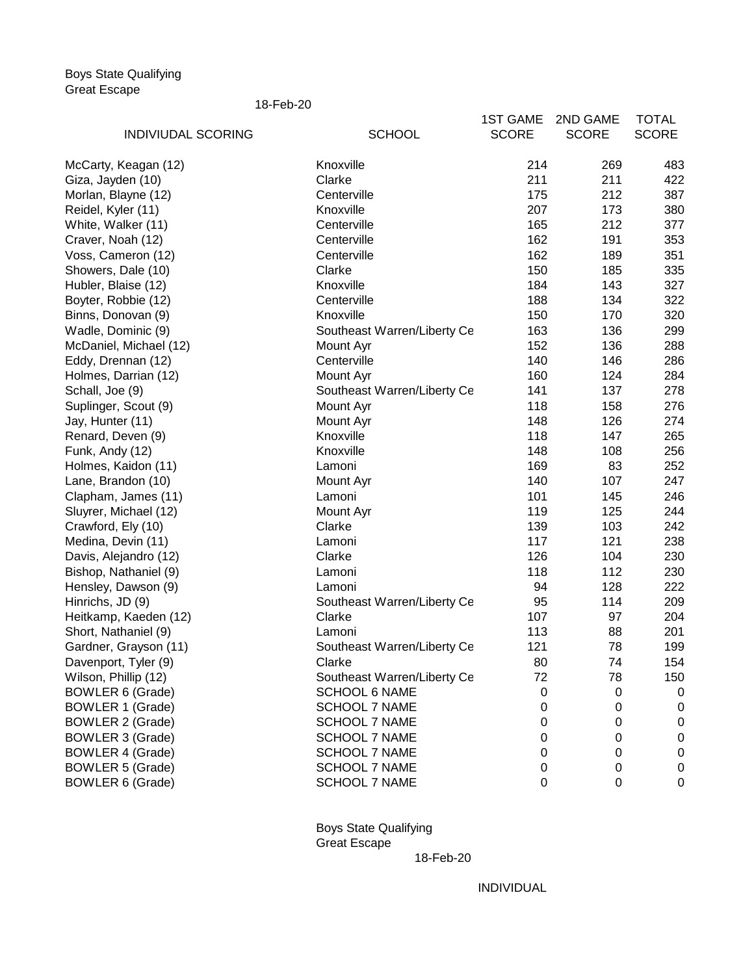Boys State Qualifying Great Escape

18-Feb-20

|                           |                             | <b>1ST GAME</b> | 2ND GAME         | <b>TOTAL</b> |
|---------------------------|-----------------------------|-----------------|------------------|--------------|
| <b>INDIVIUDAL SCORING</b> | <b>SCHOOL</b>               | <b>SCORE</b>    | <b>SCORE</b>     | <b>SCORE</b> |
| McCarty, Keagan (12)      | Knoxville                   | 214             | 269              | 483          |
| Giza, Jayden (10)         | Clarke                      | 211             | 211              | 422          |
| Morlan, Blayne (12)       | Centerville                 | 175             | 212              | 387          |
| Reidel, Kyler (11)        | Knoxville                   | 207             | 173              | 380          |
| White, Walker (11)        | Centerville                 | 165             | 212              | 377          |
| Craver, Noah (12)         | Centerville                 | 162             | 191              | 353          |
| Voss, Cameron (12)        | Centerville                 | 162             | 189              | 351          |
| Showers, Dale (10)        | Clarke                      | 150             | 185              | 335          |
| Hubler, Blaise (12)       | Knoxville                   | 184             | 143              | 327          |
| Boyter, Robbie (12)       | Centerville                 | 188             | 134              | 322          |
| Binns, Donovan (9)        | Knoxville                   | 150             | 170              | 320          |
| Wadle, Dominic (9)        | Southeast Warren/Liberty Ce | 163             | 136              | 299          |
| McDaniel, Michael (12)    | Mount Ayr                   | 152             | 136              | 288          |
| Eddy, Drennan (12)        | Centerville                 | 140             | 146              | 286          |
| Holmes, Darrian (12)      | Mount Ayr                   | 160             | 124              | 284          |
| Schall, Joe (9)           | Southeast Warren/Liberty Ce | 141             | 137              | 278          |
| Suplinger, Scout (9)      | Mount Ayr                   | 118             | 158              | 276          |
| Jay, Hunter (11)          | Mount Ayr                   | 148             | 126              | 274          |
| Renard, Deven (9)         | Knoxville                   | 118             | 147              | 265          |
| Funk, Andy (12)           | Knoxville                   | 148             | 108              | 256          |
| Holmes, Kaidon (11)       | Lamoni                      | 169             | 83               | 252          |
| Lane, Brandon (10)        | Mount Ayr                   | 140             | 107              | 247          |
| Clapham, James (11)       | Lamoni                      | 101             | 145              | 246          |
| Sluyrer, Michael (12)     | Mount Ayr                   | 119             | 125              | 244          |
| Crawford, Ely (10)        | Clarke                      | 139             | 103              | 242          |
| Medina, Devin (11)        | Lamoni                      | 117             | 121              | 238          |
| Davis, Alejandro (12)     | Clarke                      | 126             | 104              | 230          |
| Bishop, Nathaniel (9)     | Lamoni                      | 118             | 112              | 230          |
| Hensley, Dawson (9)       | Lamoni                      | 94              | 128              | 222          |
| Hinrichs, JD (9)          | Southeast Warren/Liberty Ce | 95              | 114              | 209          |
| Heitkamp, Kaeden (12)     | Clarke                      | 107             | 97               | 204          |
| Short, Nathaniel (9)      | Lamoni                      | 113             | 88               | 201          |
| Gardner, Grayson (11)     | Southeast Warren/Liberty Ce | 121             | 78               | 199          |
| Davenport, Tyler (9)      | Clarke                      | 80              | 74               | 154          |
| Wilson, Phillip (12)      | Southeast Warren/Liberty Ce | 72              | 78               | 150          |
| <b>BOWLER 6 (Grade)</b>   | <b>SCHOOL 6 NAME</b>        | 0               | 0                | $\mathbf 0$  |
| <b>BOWLER 1 (Grade)</b>   | <b>SCHOOL 7 NAME</b>        | 0               | $\boldsymbol{0}$ | $\mathbf 0$  |
| <b>BOWLER 2 (Grade)</b>   | <b>SCHOOL 7 NAME</b>        | 0               | $\boldsymbol{0}$ | $\mathbf 0$  |
| <b>BOWLER 3 (Grade)</b>   | <b>SCHOOL 7 NAME</b>        | 0               | $\boldsymbol{0}$ | $\pmb{0}$    |
| <b>BOWLER 4 (Grade)</b>   | <b>SCHOOL 7 NAME</b>        | 0               | $\boldsymbol{0}$ | $\pmb{0}$    |
| <b>BOWLER 5 (Grade)</b>   | <b>SCHOOL 7 NAME</b>        | 0               | $\mathbf 0$      | $\pmb{0}$    |
| <b>BOWLER 6 (Grade)</b>   | <b>SCHOOL 7 NAME</b>        | 0               | $\boldsymbol{0}$ | $\pmb{0}$    |

Boys State Qualifying Great Escape

18-Feb-20

INDIVIDUAL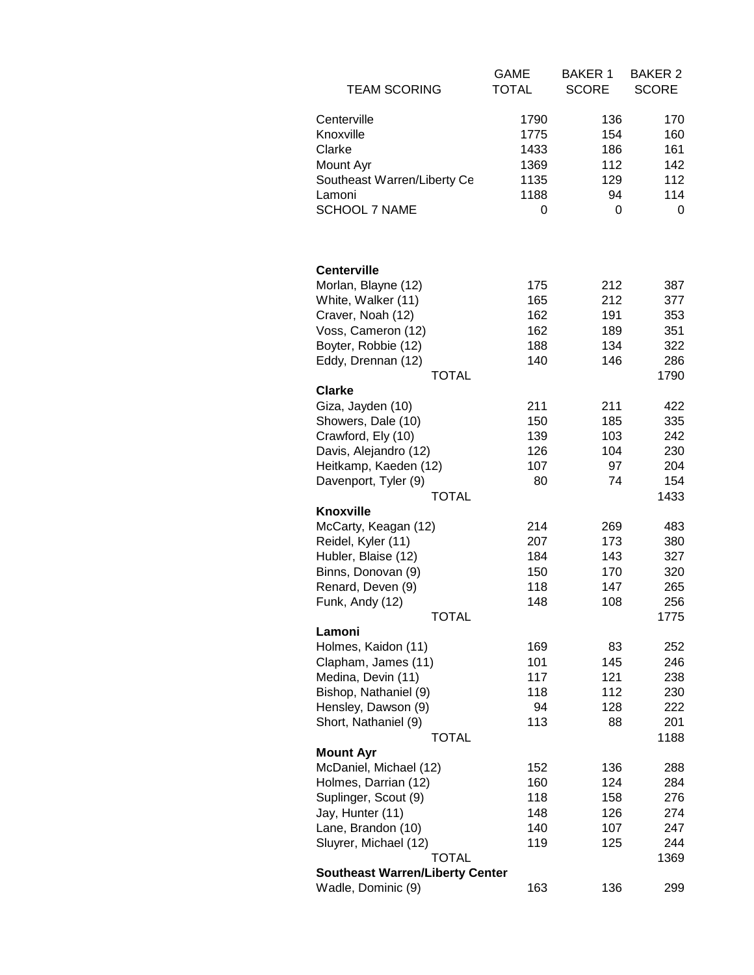| <b>TEAM SCORING</b>                     | <b>GAME</b><br><b>TOTAL</b> | <b>BAKER 1</b><br><b>SCORE</b> | <b>BAKER 2</b><br><b>SCORE</b> |
|-----------------------------------------|-----------------------------|--------------------------------|--------------------------------|
|                                         |                             |                                |                                |
| Centerville                             | 1790                        | 136                            | 170                            |
| Knoxville                               | 1775                        | 154                            | 160                            |
| Clarke                                  | 1433                        | 186                            | 161                            |
| Mount Ayr                               | 1369                        | 112                            | 142                            |
| Southeast Warren/Liberty Ce             | 1135                        | 129                            | 112                            |
| Lamoni                                  | 1188                        | 94                             | 114                            |
| <b>SCHOOL 7 NAME</b>                    | 0                           | 0                              | 0                              |
|                                         |                             |                                |                                |
|                                         |                             |                                |                                |
| <b>Centerville</b>                      |                             |                                |                                |
| Morlan, Blayne (12)                     | 175                         | 212                            | 387                            |
| White, Walker (11)                      | 165<br>162                  | 212                            | 377<br>353                     |
| Craver, Noah (12)<br>Voss, Cameron (12) | 162                         | 191<br>189                     | 351                            |
| Boyter, Robbie (12)                     | 188                         | 134                            | 322                            |
| Eddy, Drennan (12)                      | 140                         | 146                            | 286                            |
| <b>TOTAL</b>                            |                             |                                | 1790                           |
| <b>Clarke</b>                           |                             |                                |                                |
| Giza, Jayden (10)                       | 211                         | 211                            | 422                            |
| Showers, Dale (10)                      | 150                         | 185                            | 335                            |
| Crawford, Ely (10)                      | 139                         | 103                            | 242                            |
| Davis, Alejandro (12)                   | 126                         | 104                            | 230                            |
| Heitkamp, Kaeden (12)                   | 107                         | 97                             | 204                            |
| Davenport, Tyler (9)                    | 80                          | 74                             | 154                            |
| <b>TOTAL</b>                            |                             |                                | 1433                           |
| <b>Knoxville</b>                        |                             |                                |                                |
| McCarty, Keagan (12)                    | 214                         | 269                            | 483                            |
| Reidel, Kyler (11)                      | 207                         | 173                            | 380                            |
| Hubler, Blaise (12)                     | 184                         | 143                            | 327                            |
| Binns, Donovan (9)                      | 150                         | 170                            | 320                            |
| Renard, Deven (9)                       | 118                         | 147                            | 265                            |
| Funk, Andy (12)<br>TOTAL                | 148                         | 108                            | 256<br>1775                    |
| Lamoni                                  |                             |                                |                                |
| Holmes, Kaidon (11)                     | 169                         | 83                             | 252                            |
| Clapham, James (11)                     | 101                         | 145                            | 246                            |
| Medina, Devin (11)                      | 117                         | 121                            | 238                            |
| Bishop, Nathaniel (9)                   | 118                         | 112                            | 230                            |
| Hensley, Dawson (9)                     | 94                          | 128                            | 222                            |
| Short, Nathaniel (9)                    | 113                         | 88                             | 201                            |
| <b>TOTAL</b>                            |                             |                                | 1188                           |
| <b>Mount Ayr</b>                        |                             |                                |                                |
| McDaniel, Michael (12)                  | 152                         | 136                            | 288                            |
| Holmes, Darrian (12)                    | 160                         | 124                            | 284                            |
| Suplinger, Scout (9)                    | 118                         | 158                            | 276                            |
| Jay, Hunter (11)                        | 148                         | 126                            | 274                            |
| Lane, Brandon (10)                      | 140                         | 107                            | 247                            |
| Sluyrer, Michael (12)<br>TOTAL          | 119                         | 125                            | 244<br>1369                    |
| <b>Southeast Warren/Liberty Center</b>  |                             |                                |                                |
| Wadle, Dominic (9)                      | 163                         | 136                            | 299                            |
|                                         |                             |                                |                                |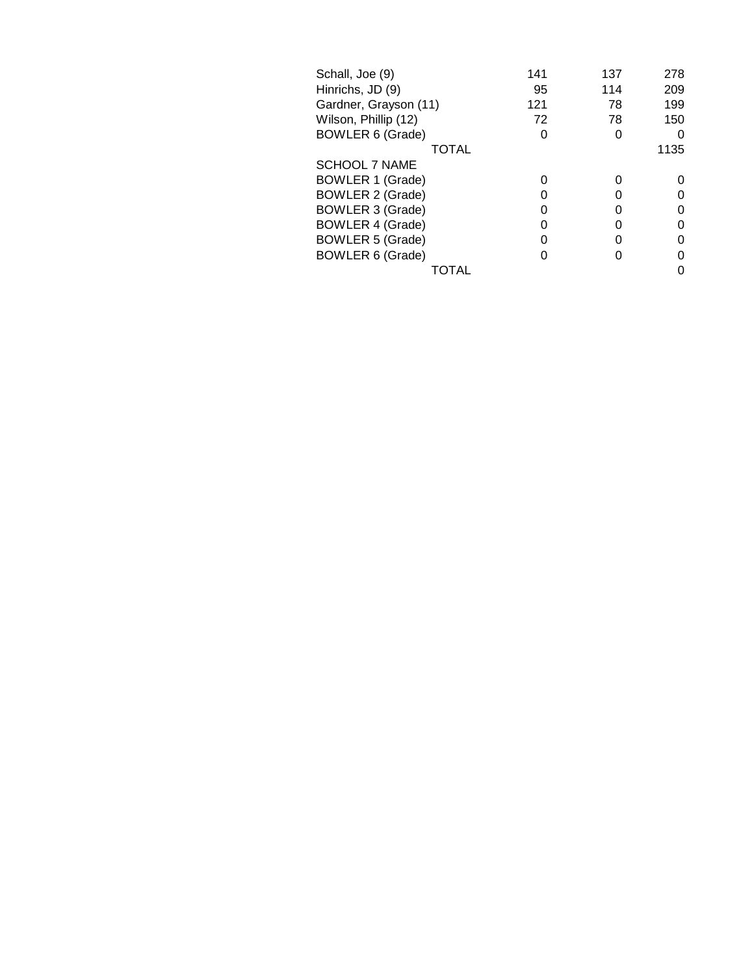| Schall, Joe (9)         | 141 | 137 | 278  |
|-------------------------|-----|-----|------|
| Hinrichs, JD (9)        | 95  | 114 | 209  |
| Gardner, Grayson (11)   | 121 | 78  | 199  |
| Wilson, Phillip (12)    | 72  | 78  | 150  |
| <b>BOWLER 6 (Grade)</b> | 0   |     | 0    |
| TOTAL                   |     |     | 1135 |
| <b>SCHOOL 7 NAME</b>    |     |     |      |
| <b>BOWLER 1 (Grade)</b> | 0   |     | O    |
| <b>BOWLER 2 (Grade)</b> | O   |     | 0    |
| <b>BOWLER 3 (Grade)</b> | O   |     | 0    |
| <b>BOWLER 4 (Grade)</b> | O   |     | 0    |
| <b>BOWLER 5 (Grade)</b> | O   |     | 0    |
| <b>BOWLER 6 (Grade)</b> |     |     | 0    |
|                         |     |     | 0    |